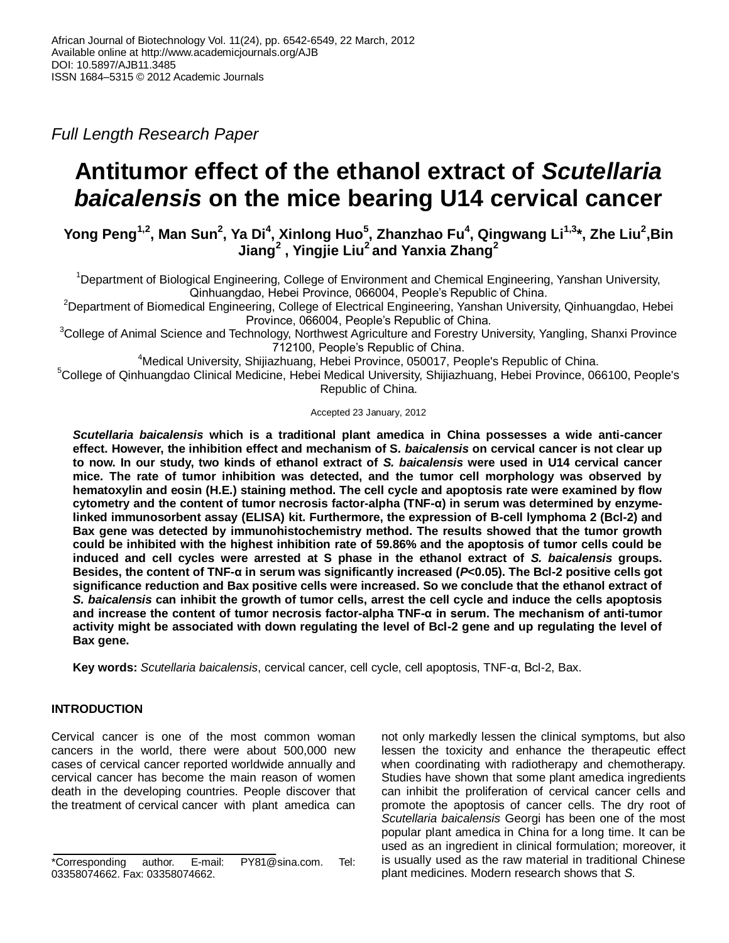*Full Length Research Paper*

# **Antitumor effect of the ethanol extract of** *Scutellaria baicalensis* **on the mice bearing U14 cervical cancer**

**Yong Peng1,2, Man Sun<sup>2</sup> , Ya Di<sup>4</sup> , Xinlong Huo<sup>5</sup> , Zhanzhao Fu<sup>4</sup> , Qingwang Li1,3\*, Zhe Liu<sup>2</sup> ,Bin Jiang<sup>2</sup> , Yingjie Liu<sup>2</sup>and Yanxia Zhang<sup>2</sup>**

<sup>1</sup>Department of Biological Engineering, College of Environment and Chemical Engineering, Yanshan University, Qinhuangdao, Hebei Province, 066004, People's Republic of China.

<sup>2</sup>Department of Biomedical Engineering, College of Electrical Engineering, Yanshan University, Qinhuangdao, Hebei Province, 066004, People's Republic of China.

<sup>3</sup>College of Animal Science and Technology, Northwest Agriculture and Forestry University, Yangling, Shanxi Province 712100, People's Republic of China.

<sup>4</sup>Medical University, Shijiazhuang, Hebei Province, 050017, People's Republic of China.

<sup>5</sup>College of Qinhuangdao Clinical Medicine, Hebei Medical University, Shijiazhuang, Hebei Province, 066100, People's Republic of China.

Accepted 23 January, 2012

*Scutellaria baicalensis* **which is a traditional plant amedica in China possesses a wide anti-cancer effect. However, the inhibition effect and mechanism of S***. baicalensis* **on cervical cancer is not clear up to now. In our study, two kinds of ethanol extract of** *S. baicalensis* **were used in U14 cervical cancer mice. The rate of tumor inhibition was detected, and the tumor cell morphology was observed by hematoxylin and eosin (H.E.) staining method. The cell cycle and apoptosis rate were examined by flow cytometry and the content of tumor necrosis factor-alpha (TNF-α) in serum was determined by enzymelinked immunosorbent assay (ELISA) kit. Furthermore, the expression of B-cell lymphoma 2 (Bcl-2) and Bax gene was detected by immunohistochemistry method. The results showed that the tumor growth could be inhibited with the highest inhibition rate of 59.86% and the apoptosis of tumor cells could be induced and cell cycles were arrested at S phase in the ethanol extract of** *S. baicalensis* **groups. Besides, the content of TNF-α in serum was significantly increased (***P***<0.05). The Bcl-2 positive cells got significance reduction and Bax positive cells were increased. So we conclude that the ethanol extract of**  *S. baicalensis* **can inhibit the growth of tumor cells, arrest the cell cycle and induce the cells apoptosis and increase the content of tumor necrosis factor-alpha TNF-α in serum. The mechanism of anti-tumor activity might be associated with down regulating the level of Bcl-2 gene and up regulating the level of Bax gene.**

**Key words:** *Scutellaria baicalensis*, cervical cancer, cell cycle, cell apoptosis, TNF-α, Bcl-2, Bax.

## **INTRODUCTION**

Cervical cancer is one of the most common woman cancers in the world, there were about 500,000 new cases of cervical cancer reported worldwide annually and cervical cancer has become the main reason of women death in the developing countries. People discover that the treatment of cervical cancer with plant amedica can not only markedly lessen the clinical symptoms, but also lessen the toxicity and enhance the therapeutic effect when coordinating with radiotherapy and chemotherapy. Studies have shown that some plant amedica ingredients can inhibit the proliferation of cervical cancer cells and promote the apoptosis of cancer cells. The dry root of *Scutellaria baicalensis* Georgi has been one of the most popular plant amedica in China for a long time. It can be used as an ingredient in clinical formulation; moreover, it is usually used as the raw material in traditional Chinese plant medicines. Modern research shows that *S.*

<sup>\*</sup>Corresponding author. E-mail: PY81@sina.com. Tel: 03358074662. Fax: 03358074662.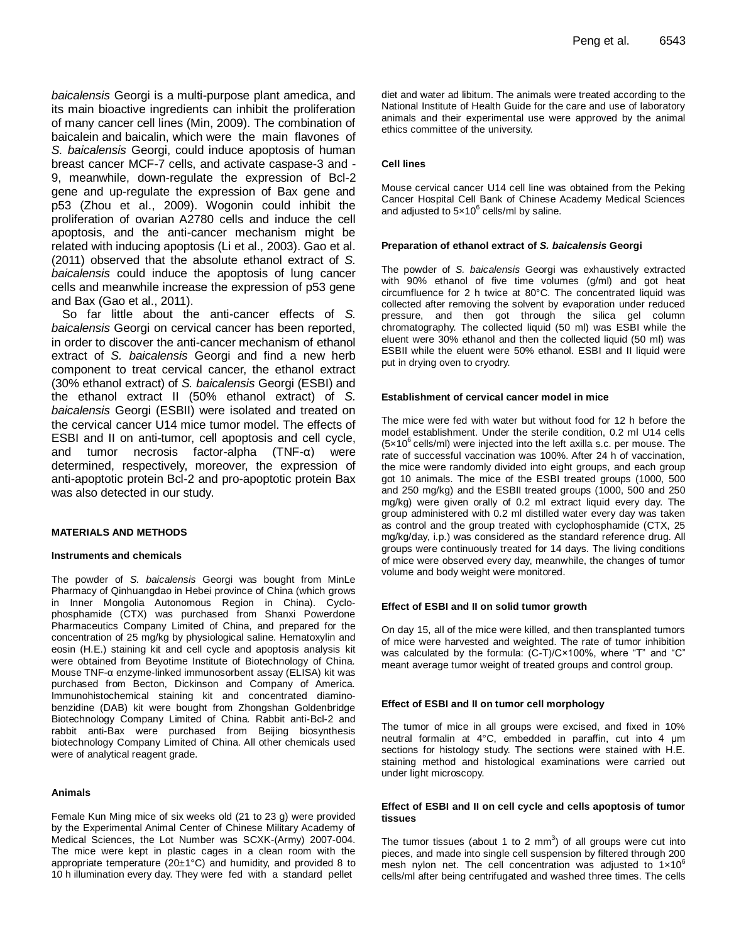*baicalensis* Georgi is a multi-purpose plant amedica, and its main bioactive ingredients can inhibit the proliferation of many cancer cell lines (Min, 2009). The combination of baicalein and baicalin, which were the main flavones of *S. baicalensis* Georgi, could induce apoptosis of human breast cancer MCF-7 cells, and activate caspase-3 and - 9, meanwhile, down-regulate the expression of Bcl-2 gene and up-regulate the expression of Bax gene and p53 (Zhou et al., 2009). Wogonin could inhibit the proliferation of ovarian A2780 cells and induce the cell apoptosis, and the anti-cancer mechanism might be related with inducing apoptosis (Li et al., 2003). Gao et al. (2011) observed that the absolute ethanol extract of *S. baicalensis* could induce the apoptosis of lung cancer cells and meanwhile increase the expression of p53 gene and Bax (Gao et al., 2011).

So far little about the anti-cancer effects of *S. baicalensis* Georgi on cervical cancer has been reported, in order to discover the anti-cancer mechanism of ethanol extract of *S. baicalensis* Georgi and find a new herb component to treat cervical cancer, the ethanol extract (30% ethanol extract) of *S. baicalensis* Georgi (ESBI) and the ethanol extract II (50% ethanol extract) of *S. baicalensis* Georgi (ESBII) were isolated and treated on the cervical cancer U14 mice tumor model. The effects of ESBI and II on anti-tumor, cell apoptosis and cell cycle, and tumor necrosis factor-alpha (TNF-α) were determined, respectively, moreover, the expression of anti-apoptotic protein Bcl-2 and pro-apoptotic protein Bax was also detected in our study.

#### **MATERIALS AND METHODS**

#### **Instruments and chemicals**

The powder of *S. baicalensis* Georgi was bought from MinLe Pharmacy of Qinhuangdao in Hebei province of China (which grows in Inner Mongolia Autonomous Region in China). Cyclophosphamide (CTX) was purchased from Shanxi Powerdone Pharmaceutics Company Limited of China, and prepared for the concentration of 25 mg/kg by physiological saline. Hematoxylin and eosin (H.E.) staining kit and cell cycle and apoptosis analysis kit were obtained from Beyotime Institute of Biotechnology of China. Mouse TNF-α enzyme-linked immunosorbent assay (ELISA) kit was purchased from Becton, Dickinson and Company of America. Immunohistochemical staining kit and concentrated diaminobenzidine (DAB) kit were bought from Zhongshan Goldenbridge Biotechnology Company Limited of China. Rabbit anti-Bcl-2 and rabbit anti-Bax were purchased from Beijing biosynthesis biotechnology Company Limited of China. All other chemicals used were of analytical reagent grade.

#### **Animals**

Female Kun Ming mice of six weeks old (21 to 23 g) were provided by the Experimental Animal Center of Chinese Military Academy of Medical Sciences, the Lot Number was SCXK-(Army) 2007-004. The mice were kept in plastic cages in a clean room with the appropriate temperature (20±1°C) and humidity, and provided 8 to 10 h illumination every day. They were fed with a standard pellet

diet and water ad libitum. The animals were treated according to the National Institute of Health Guide for the care and use of laboratory animals and their experimental use were approved by the animal ethics committee of the university.

#### **Cell lines**

Mouse cervical cancer U14 cell line was obtained from the Peking Cancer Hospital Cell Bank of Chinese Academy Medical Sciences and adjusted to  $5 \times 10^6$  cells/ml by saline.

#### **Preparation of ethanol extract of** *S. baicalensis* **Georgi**

The powder of *S. baicalensis* Georgi was exhaustively extracted with 90% ethanol of five time volumes (g/ml) and got heat circumfluence for 2 h twice at 80°C. The concentrated liquid was collected after removing the solvent by evaporation under reduced pressure, and then got through the silica gel column chromatography. The collected liquid (50 ml) was ESBI while the eluent were 30% ethanol and then the collected liquid (50 ml) was ESBII while the eluent were 50% ethanol. ESBI and II liquid were put in drying oven to cryodry.

#### **Establishment of cervical cancer model in mice**

The mice were fed with water but without food for 12 h before the model establishment. Under the sterile condition, 0.2 ml U14 cells  $(5x10^6 \text{ cells/ml})$  were injected into the left axilla s.c. per mouse. The rate of successful vaccination was 100%. After 24 h of vaccination, the mice were randomly divided into eight groups, and each group got 10 animals. The mice of the ESBI treated groups (1000, 500 and 250 mg/kg) and the ESBII treated groups (1000, 500 and 250 mg/kg) were given orally of 0.2 ml extract liquid every day. The group administered with 0.2 ml distilled water every day was taken as control and the group treated with cyclophosphamide (CTX, 25 mg/kg/day, i.p.) was considered as the standard reference drug. All groups were continuously treated for 14 days. The living conditions of mice were observed every day, meanwhile, the changes of tumor volume and body weight were monitored.

#### **Effect of ESBI and II on solid tumor growth**

On day 15, all of the mice were killed, and then transplanted tumors of mice were harvested and weighted. The rate of tumor inhibition was calculated by the formula: (C-T)/C×100%, where "T" and "C" meant average tumor weight of treated groups and control group.

#### **Effect of ESBI and II on tumor cell morphology**

The tumor of mice in all groups were excised, and fixed in 10% neutral formalin at 4°C, embedded in paraffin, cut into 4 μm sections for histology study. The sections were stained with H.E. staining method and histological examinations were carried out under light microscopy.

#### **Effect of ESBI and II on cell cycle and cells apoptosis of tumor tissues**

The tumor tissues (about 1 to 2 mm<sup>3</sup>) of all groups were cut into pieces, and made into single cell suspension by filtered through 200 mesh nylon net. The cell concentration was adjusted to  $1 \times 10^6$ cells/ml after being centrifugated and washed three times. The cells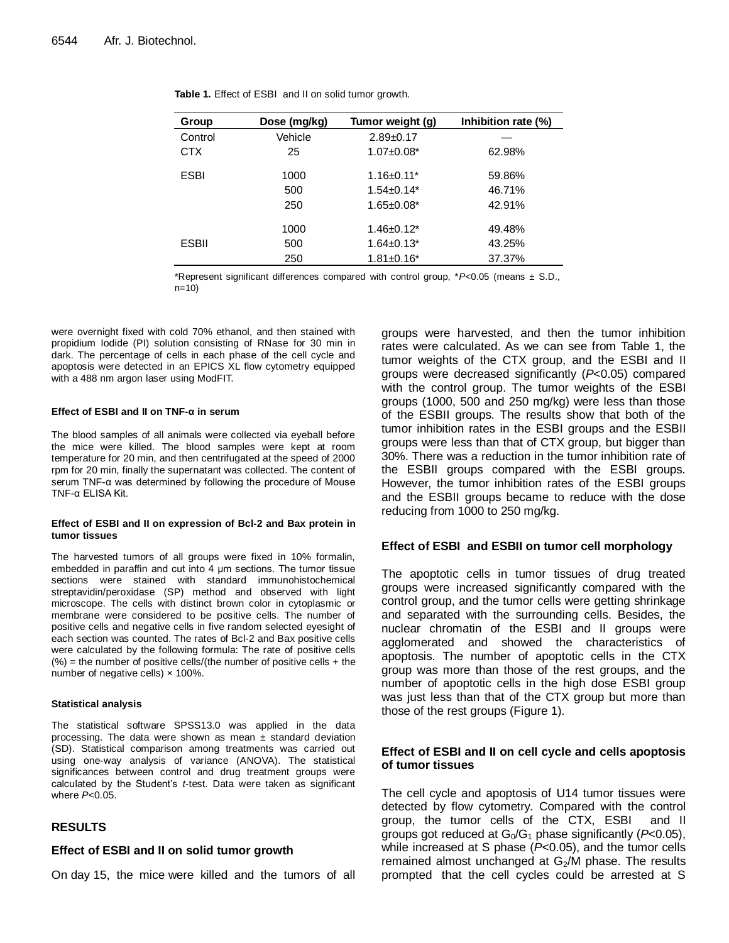| Group        | Dose (mg/kg) | Tumor weight (g)  | Inhibition rate (%) |
|--------------|--------------|-------------------|---------------------|
| Control      | Vehicle      | $2.89+0.17$       |                     |
| <b>CTX</b>   | 25           | $1.07 \pm 0.08^*$ | 62.98%              |
| <b>ESBI</b>  | 1000         | $1.16 \pm 0.11^*$ | 59.86%              |
|              | 500          | $1.54 \pm 0.14*$  | 46.71%              |
|              | 250          | $1.65 \pm 0.08^*$ | 42.91%              |
|              | 1000         | $1.46 \pm 0.12^*$ | 49.48%              |
| <b>ESBII</b> | 500          | $1.64 \pm 0.13^*$ | 43.25%              |
|              | 250          | $1.81 \pm 0.16^*$ | 37.37%              |

\*Represent significant differences compared with control group, \**P*<0.05 (means ± S.D., n=10)

were overnight fixed with cold 70% ethanol, and then stained with propidium Iodide (PI) solution consisting of RNase for 30 min in dark. The percentage of cells in each phase of the cell cycle and apoptosis were detected in an EPICS XL flow cytometry equipped with a 488 nm argon laser using ModFIT.

#### **Effect of ESBI and II on TNF-α in serum**

The blood samples of all animals were collected via eyeball before the mice were killed. The blood samples were kept at room temperature for 20 min, and then centrifugated at the speed of 2000 rpm for 20 min, finally the supernatant was collected. The content of serum TNF-α was determined by following the procedure of Mouse TNF-α ELISA Kit.

#### **Effect of ESBI and II on expression of Bcl-2 and Bax protein in tumor tissues**

The harvested tumors of all groups were fixed in 10% formalin, embedded in paraffin and cut into 4 μm sections. The tumor tissue sections were stained with standard immunohistochemical streptavidin/peroxidase (SP) method and observed with light microscope. The cells with distinct brown color in cytoplasmic or membrane were considered to be positive cells. The number of positive cells and negative cells in five random selected eyesight of each section was counted. The rates of Bcl-2 and Bax positive cells were calculated by the following formula: The rate of positive cells  $(\%)$  = the number of positive cells/(the number of positive cells + the number of negative cells) x 100%.

#### **Statistical analysis**

The statistical software SPSS13.0 was applied in the data processing. The data were shown as mean  $\pm$  standard deviation (SD). Statistical comparison among treatments was carried out using one-way analysis of variance (ANOVA). The statistical significances between control and drug treatment groups were calculated by the Student's *t*-test. Data were taken as significant where *P*<0.05.

## **RESULTS**

## **Effect of ESBI and II on solid tumor growth**

On day 15, the mice were killed and the tumors of all

groups were harvested, and then the tumor inhibition rates were calculated. As we can see from Table 1, the tumor weights of the CTX group, and the ESBI and II groups were decreased significantly (*P*<0.05) compared with the control group. The tumor weights of the ESBI groups (1000, 500 and 250 mg/kg) were less than those of the ESBII groups. The results show that both of the tumor inhibition rates in the ESBI groups and the ESBII groups were less than that of CTX group, but bigger than 30%. There was a reduction in the tumor inhibition rate of the ESBII groups compared with the ESBI groups. However, the tumor inhibition rates of the ESBI groups and the ESBII groups became to reduce with the dose reducing from 1000 to 250 mg/kg.

## **Effect of ESBI and ESBII on tumor cell morphology**

The apoptotic cells in tumor tissues of drug treated groups were increased significantly compared with the control group, and the tumor cells were getting shrinkage and separated with the surrounding cells. Besides, the nuclear chromatin of the ESBI and II groups were agglomerated and showed the characteristics of apoptosis. The number of apoptotic cells in the CTX group was more than those of the rest groups, and the number of apoptotic cells in the high dose ESBI group was just less than that of the CTX group but more than those of the rest groups (Figure 1).

## **Effect of ESBI and II on cell cycle and cells apoptosis of tumor tissues**

The cell cycle and apoptosis of U14 tumor tissues were detected by flow cytometry. Compared with the control group, the tumor cells of the CTX, ESBI and II groups got reduced at  $G_0/G_1$  phase significantly ( $P<0.05$ ), while increased at S phase (*P*<0.05), and the tumor cells remained almost unchanged at  $G_2/M$  phase. The results prompted that the cell cycles could be arrested at S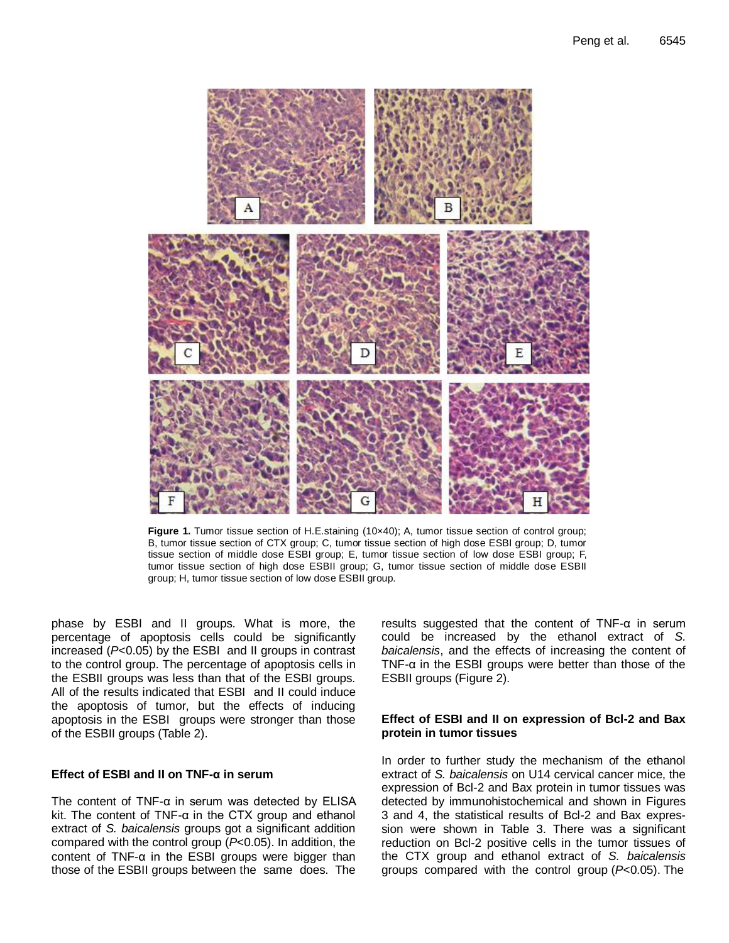

**Figure 1.** Tumor tissue section of H.E.staining (10x40); A, tumor tissue section of control group; B, tumor tissue section of CTX group; C, tumor tissue section of high dose ESBI group; D, tumor tissue section of middle dose ESBI group; E, tumor tissue section of low dose ESBI group; F, tumor tissue section of high dose ESBII group; G, tumor tissue section of middle dose ESBII group; H, tumor tissue section of low dose ESBII group.

phase by ESBI and II groups. What is more, the percentage of apoptosis cells could be significantly increased (*P*<0.05) by the ESBI and II groups in contrast to the control group. The percentage of apoptosis cells in the ESBII groups was less than that of the ESBI groups. All of the results indicated that ESBI and II could induce the apoptosis of tumor, but the effects of inducing apoptosis in the ESBI groups were stronger than those of the ESBII groups (Table 2).

## **Effect of ESBI and II on TNF-α in serum**

The content of TNF-α in serum was detected by ELISA kit. The content of TNF-α in the CTX group and ethanol extract of *S. baicalensis* groups got a significant addition compared with the control group (*P*<0.05). In addition, the content of TNF-α in the ESBI groups were bigger than those of the ESBII groups between the same does. The

results suggested that the content of TNF-α in serum could be increased by the ethanol extract of *S. baicalensis*, and the effects of increasing the content of TNF- $\alpha$  in the ESBI groups were better than those of the ESBII groups (Figure 2).

## **Effect of ESBI and II on expression of Bcl-2 and Bax protein in tumor tissues**

In order to further study the mechanism of the ethanol extract of *S. baicalensis* on U14 cervical cancer mice, the expression of Bcl-2 and Bax protein in tumor tissues was detected by immunohistochemical and shown in Figures 3 and 4, the statistical results of Bcl-2 and Bax expression were shown in Table 3. There was a significant reduction on Bcl-2 positive cells in the tumor tissues of the CTX group and ethanol extract of *S. baicalensis*  groups compared with the control group (*P*<0.05). The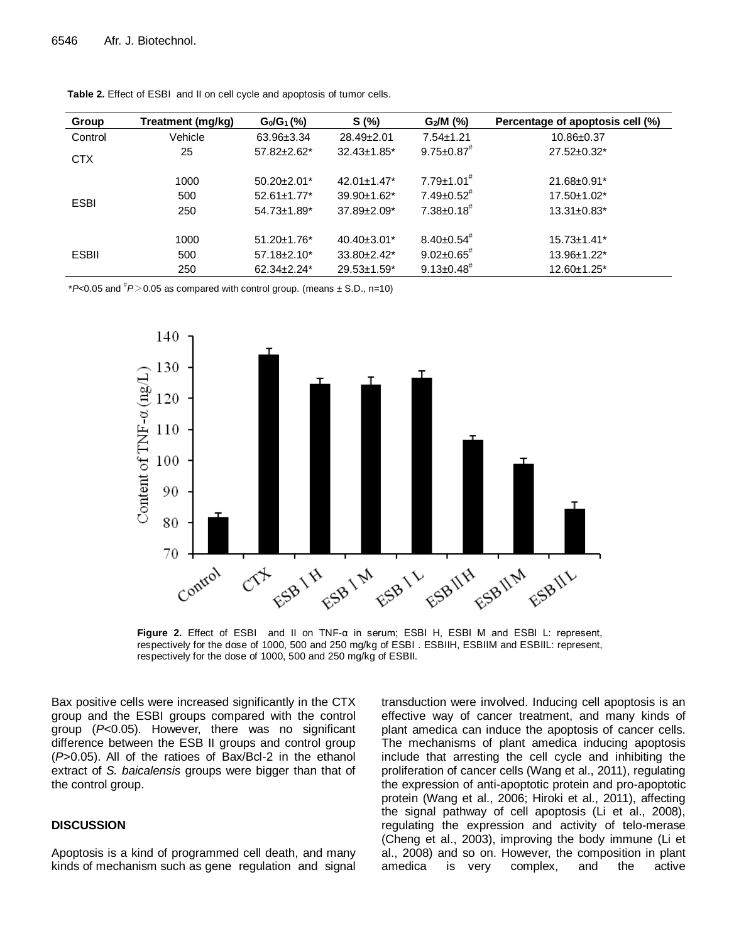| Group        | Treatment (mg/kg) | $G_0/G_1(\%)$                 | S(%)                          | $G_2/M$ (%)                  | Percentage of apoptosis cell (%) |
|--------------|-------------------|-------------------------------|-------------------------------|------------------------------|----------------------------------|
| Control      | Vehicle           | 63.96±3.34                    | 28.49±2.01                    | $7.54 \pm 1.21$              | 10.86±0.37                       |
| <b>CTX</b>   | 25                | $57.82 \pm 2.62^*$            | $32.43 \pm 1.85$ <sup>*</sup> | $9.75 \pm 0.87$              | $27.52 \pm 0.32^*$               |
| <b>ESBI</b>  | 1000              | $50.20 \pm 2.01$ *            | $42.01 \pm 1.47$ *            | $7.79 \pm 1.01$ <sup>#</sup> | 21.68±0.91*                      |
|              | 500               | $52.61 \pm 1.77$ *            | 39.90±1.62*                   | $7.49 \pm 0.52$ <sup>#</sup> | 17.50±1.02*                      |
|              | 250               | $54.73 \pm 1.89$ *            | 37.89±2.09*                   | $7.38 \pm 0.18$ <sup>#</sup> | $13.31 \pm 0.83$ *               |
| <b>ESBII</b> | 1000              | $51.20 \pm 1.76$ <sup>*</sup> | $40.40\pm3.01*$               | $8.40 \pm 0.54$ <sup>#</sup> | 15.73±1.41*                      |
|              | 500               | $57.18 \pm 2.10^*$            | $33.80 \pm 2.42^*$            | $9.02 \pm 0.65$ <sup>#</sup> | 13.96±1.22*                      |
|              | 250               | $62.34 \pm 2.24$ *            | $29.53 \pm 1.59^*$            | $9.13 \pm 0.48^{\#}$         | 12.60±1.25*                      |

**Table 2.** Effect of ESBI and II on cell cycle and apoptosis of tumor cells.

 $*P<0.05$  and  $*P>0.05$  as compared with control group. (means  $\pm$  S.D., n=10)



**Figure 2.** Effect of ESBI and II on TNF-α in serum; ESBI H, ESBI M and ESBI L: represent, respectively for the dose of 1000, 500 and 250 mg/kg of ESBI . ESBIIH, ESBIIM and ESBIIL: represent, respectively for the dose of 1000, 500 and 250 mg/kg of ESBII.

Bax positive cells were increased significantly in the CTX group and the ESBI groups compared with the control group (*P*<0.05). However, there was no significant difference between the ESB II groups and control group (*P*>0.05). All of the ratioes of Bax/Bcl-2 in the ethanol extract of *S. baicalensis* groups were bigger than that of the control group.

## **DISCUSSION**

Apoptosis is a kind of programmed cell death, and many kinds of mechanism such as gene regulation and signal transduction were involved. Inducing cell apoptosis is an effective way of cancer treatment, and many kinds of plant amedica can induce the apoptosis of cancer cells. The mechanisms of plant amedica inducing apoptosis include that arresting the cell cycle and inhibiting the proliferation of cancer cells (Wang et al., 2011), regulating the expression of anti-apoptotic protein and pro-apoptotic protein (Wang et al., 2006; Hiroki et al., 2011), affecting the signal pathway of cell apoptosis (Li et al., 2008), regulating the expression and activity of telo-merase (Cheng et al., 2003), improving the body immune (Li et al., 2008) and so on. However, the composition in plant amedica is very complex, and the active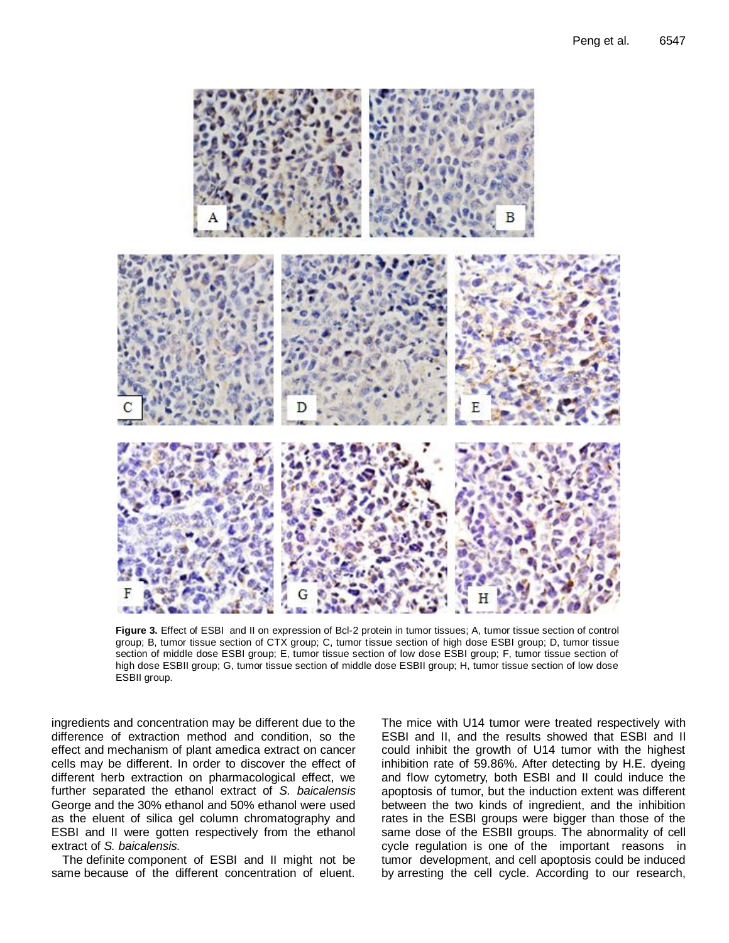

**Figure 3.** Effect of ESBI and II on expression of Bcl-2 protein in tumor tissues; A, tumor tissue section of control group; B, tumor tissue section of CTX group; C, tumor tissue section of high dose ESBI group; D, tumor tissue section of middle dose ESBI group; E, tumor tissue section of low dose ESBI group; F, tumor tissue section of high dose ESBII group; G, tumor tissue section of middle dose ESBII group; H, tumor tissue section of low dose ESBII group.

ingredients and concentration may be different due to the difference of extraction method and condition, so the effect and mechanism of plant amedica extract on cancer cells may be different. In order to discover the effect of different herb extraction on pharmacological effect, we further separated the ethanol extract of *S. baicalensis*  George and the 30% ethanol and 50% ethanol were used as the eluent of silica gel column chromatography and ESBI and II were gotten respectively from the ethanol extract of *S. baicalensis.* 

The definite component of ESBI and II might not be same because of the different concentration of eluent. The mice with U14 tumor were treated respectively with ESBI and II, and the results showed that ESBI and II could inhibit the growth of U14 tumor with the highest inhibition rate of 59.86%. After detecting by H.E. dyeing and flow cytometry, both ESBI and II could induce the apoptosis of tumor, but the induction extent was different between the two kinds of ingredient, and the inhibition rates in the ESBI groups were bigger than those of the same dose of the ESBII groups. The abnormality of cell cycle regulation is one of the important reasons in tumor development, and cell apoptosis could be induced by arresting the cell cycle. According to our research,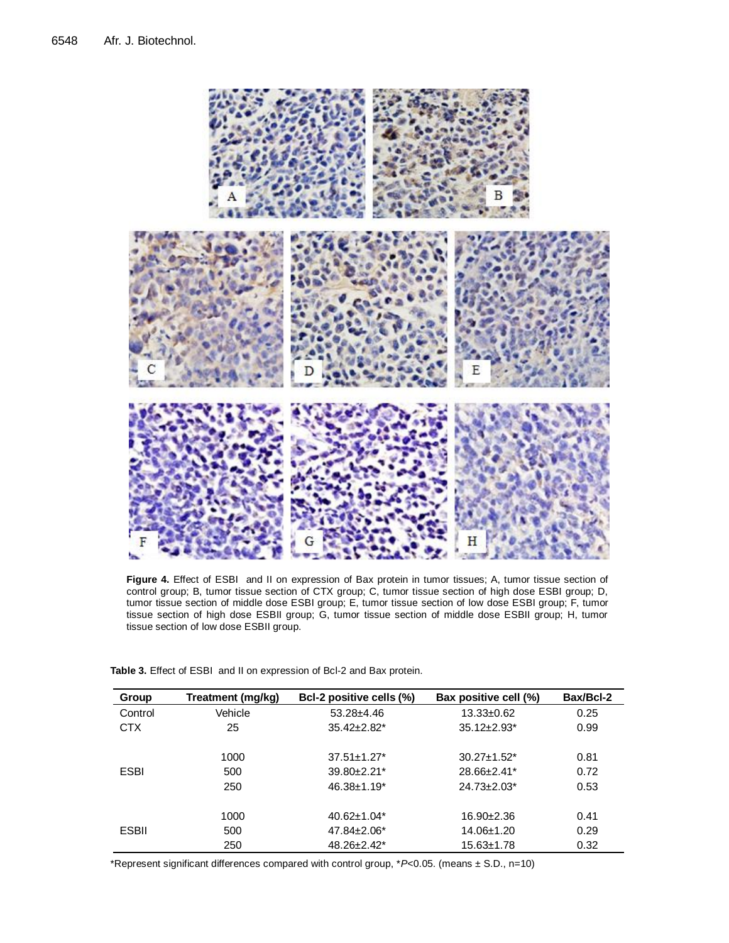

**Figure 4.** Effect of ESBI and II on expression of Bax protein in tumor tissues; A, tumor tissue section of control group; B, tumor tissue section of CTX group; C, tumor tissue section of high dose ESBI group; D, tumor tissue section of middle dose ESBI group; E, tumor tissue section of low dose ESBI group; F, tumor tissue section of high dose ESBII group; G, tumor tissue section of middle dose ESBII group; H, tumor tissue section of low dose ESBII group.

| Group        | Treatment (mg/kg) | Bcl-2 positive cells (%)      | Bax positive cell (%)         | Bax/Bcl-2 |
|--------------|-------------------|-------------------------------|-------------------------------|-----------|
| Control      | Vehicle           | $53.28 \pm 4.46$              | $13.33 \pm 0.62$              | 0.25      |
| <b>CTX</b>   | 25                | $35.42 \pm 2.82^*$            | $35.12 \pm 2.93$ <sup>*</sup> | 0.99      |
|              |                   |                               |                               |           |
|              | 1000              | $37.51 \pm 1.27$ *            | $30.27 \pm 1.52^*$            | 0.81      |
| <b>ESBI</b>  | 500               | $39.80 \pm 2.21$ <sup>*</sup> | $28.66 \pm 2.41^*$            | 0.72      |
|              | 250               | $46.38 \pm 1.19^*$            | $24.73 \pm 2.03^*$            | 0.53      |
|              |                   |                               |                               |           |
|              | 1000              | $40.62 \pm 1.04*$             | $16.90 + 2.36$                | 0.41      |
| <b>ESBII</b> | 500               | $47.84 \pm 2.06^*$            | 14.06±1.20                    | 0.29      |
|              | 250               | $48.26 \pm 2.42^*$            | 15.63±1.78                    | 0.32      |

**Table 3.** Effect of ESBI and II on expression of Bcl-2 and Bax protein.

\*Represent significant differences compared with control group, \**P*<0.05. (means ± S.D., n=10)